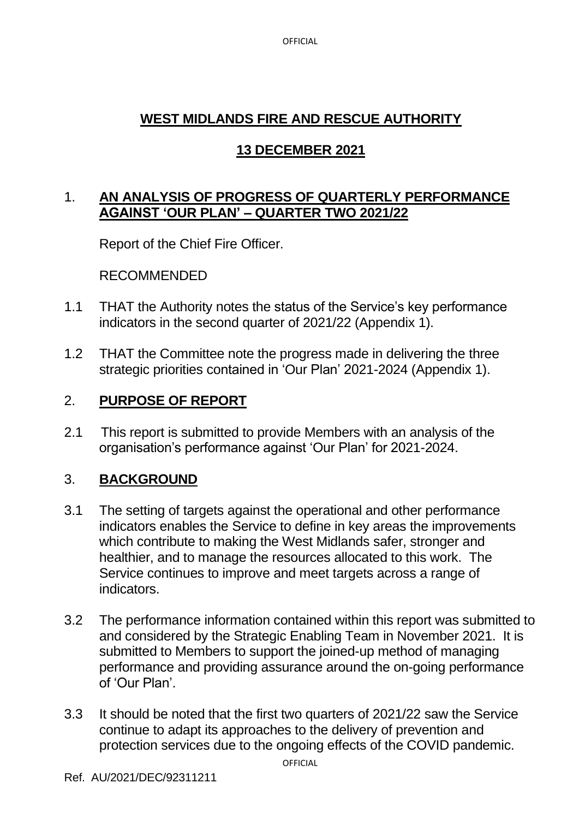OFFICIAL

# **WEST MIDLANDS FIRE AND RESCUE AUTHORITY**

# **13 DECEMBER 2021**

## 1. **AN ANALYSIS OF PROGRESS OF QUARTERLY PERFORMANCE AGAINST 'OUR PLAN' – QUARTER TWO 2021/22**

Report of the Chief Fire Officer.

RECOMMENDED

- 1.1 THAT the Authority notes the status of the Service's key performance indicators in the second quarter of 2021/22 (Appendix 1).
- 1.2 THAT the Committee note the progress made in delivering the three strategic priorities contained in 'Our Plan' 2021-2024 (Appendix 1).

# 2. **PURPOSE OF REPORT**

2.1 This report is submitted to provide Members with an analysis of the organisation's performance against 'Our Plan' for 2021-2024.

# 3. **BACKGROUND**

- 3.1 The setting of targets against the operational and other performance indicators enables the Service to define in key areas the improvements which contribute to making the West Midlands safer, stronger and healthier, and to manage the resources allocated to this work. The Service continues to improve and meet targets across a range of indicators.
- 3.2 The performance information contained within this report was submitted to and considered by the Strategic Enabling Team in November 2021. It is submitted to Members to support the joined-up method of managing performance and providing assurance around the on-going performance of 'Our Plan'.
- 3.3 It should be noted that the first two quarters of 2021/22 saw the Service continue to adapt its approaches to the delivery of prevention and protection services due to the ongoing effects of the COVID pandemic.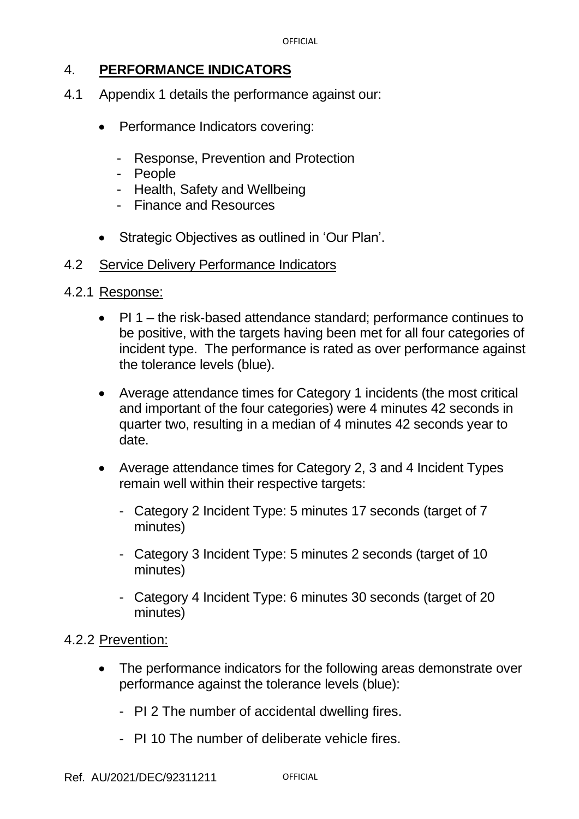### 4. **PERFORMANCE INDICATORS**

- 4.1 Appendix 1 details the performance against our:
	- Performance Indicators covering:
		- Response, Prevention and Protection
		- People
		- Health, Safety and Wellbeing
		- Finance and Resources
	- Strategic Objectives as outlined in 'Our Plan'.
- 4.2 Service Delivery Performance Indicators
- 4.2.1 Response:
	- PI 1 the risk-based attendance standard; performance continues to be positive, with the targets having been met for all four categories of incident type. The performance is rated as over performance against the tolerance levels (blue).
	- Average attendance times for Category 1 incidents (the most critical and important of the four categories) were 4 minutes 42 seconds in quarter two, resulting in a median of 4 minutes 42 seconds year to date.
	- Average attendance times for Category 2, 3 and 4 Incident Types remain well within their respective targets:
		- Category 2 Incident Type: 5 minutes 17 seconds (target of 7 minutes)
		- Category 3 Incident Type: 5 minutes 2 seconds (target of 10 minutes)
		- Category 4 Incident Type: 6 minutes 30 seconds (target of 20 minutes)

### 4.2.2 Prevention:

- The performance indicators for the following areas demonstrate over performance against the tolerance levels (blue):
	- PI 2 The number of accidental dwelling fires.
	- PI 10 The number of deliberate vehicle fires.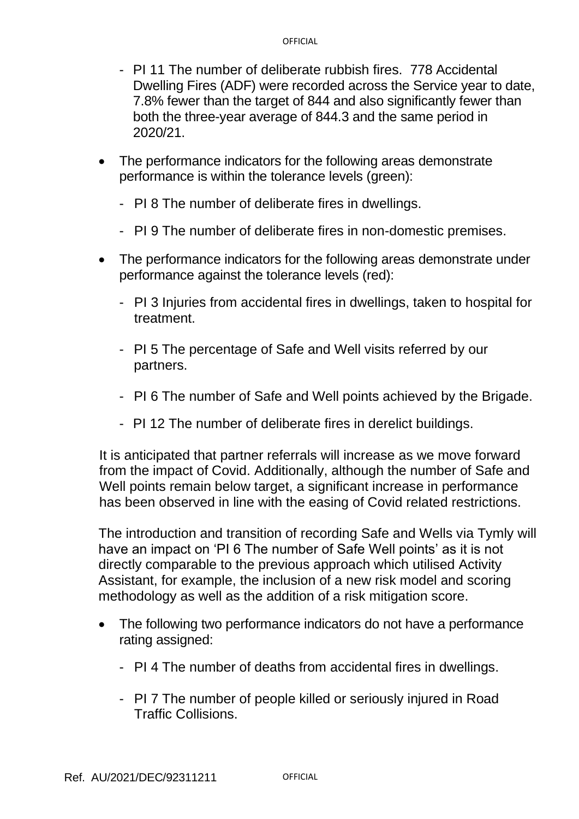- PI 11 The number of deliberate rubbish fires. 778 Accidental Dwelling Fires (ADF) were recorded across the Service year to date, 7.8% fewer than the target of 844 and also significantly fewer than both the three-year average of 844.3 and the same period in 2020/21.
- The performance indicators for the following areas demonstrate performance is within the tolerance levels (green):
	- PI 8 The number of deliberate fires in dwellings.
	- PI 9 The number of deliberate fires in non-domestic premises.
- The performance indicators for the following areas demonstrate under performance against the tolerance levels (red):
	- PI 3 Injuries from accidental fires in dwellings, taken to hospital for treatment.
	- PI 5 The percentage of Safe and Well visits referred by our partners.
	- PI 6 The number of Safe and Well points achieved by the Brigade.
	- PI 12 The number of deliberate fires in derelict buildings.

It is anticipated that partner referrals will increase as we move forward from the impact of Covid. Additionally, although the number of Safe and Well points remain below target, a significant increase in performance has been observed in line with the easing of Covid related restrictions.

The introduction and transition of recording Safe and Wells via Tymly will have an impact on 'PI 6 The number of Safe Well points' as it is not directly comparable to the previous approach which utilised Activity Assistant, for example, the inclusion of a new risk model and scoring methodology as well as the addition of a risk mitigation score.

- The following two performance indicators do not have a performance rating assigned:
	- PI 4 The number of deaths from accidental fires in dwellings.
	- PI 7 The number of people killed or seriously injured in Road Traffic Collisions.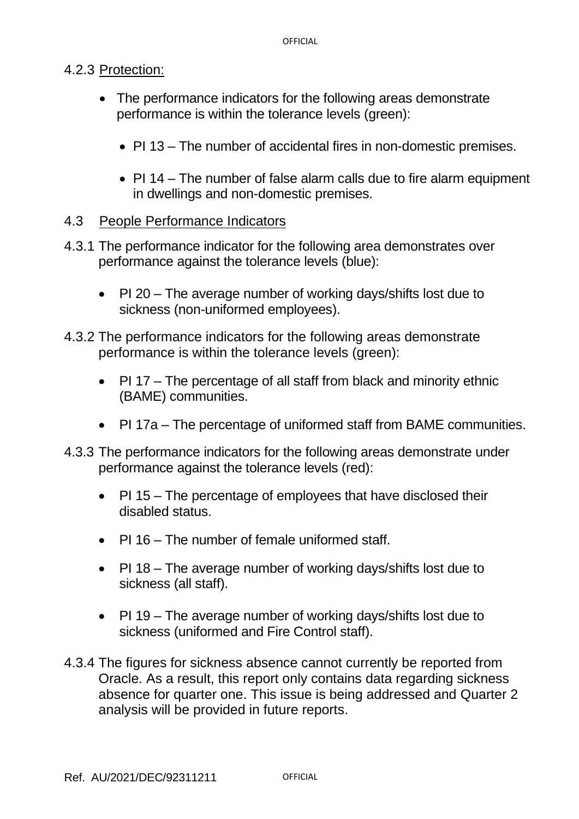### 4.2.3 Protection:

- The performance indicators for the following areas demonstrate performance is within the tolerance levels (green):
	- PI 13 The number of accidental fires in non-domestic premises.
	- PI 14 The number of false alarm calls due to fire alarm equipment in dwellings and non-domestic premises.

### 4.3 People Performance Indicators

- 4.3.1 The performance indicator for the following area demonstrates over performance against the tolerance levels (blue):
	- PI 20 The average number of working days/shifts lost due to sickness (non-uniformed employees).
- 4.3.2 The performance indicators for the following areas demonstrate performance is within the tolerance levels (green):
	- PI 17 The percentage of all staff from black and minority ethnic (BAME) communities.
	- PI 17a The percentage of uniformed staff from BAME communities.
- 4.3.3 The performance indicators for the following areas demonstrate under performance against the tolerance levels (red):
	- PI 15 The percentage of employees that have disclosed their disabled status.
	- PI 16 The number of female uniformed staff.
	- PI 18 The average number of working days/shifts lost due to sickness (all staff).
	- PI 19 The average number of working days/shifts lost due to sickness (uniformed and Fire Control staff).
- 4.3.4 The figures for sickness absence cannot currently be reported from Oracle. As a result, this report only contains data regarding sickness absence for quarter one. This issue is being addressed and Quarter 2 analysis will be provided in future reports.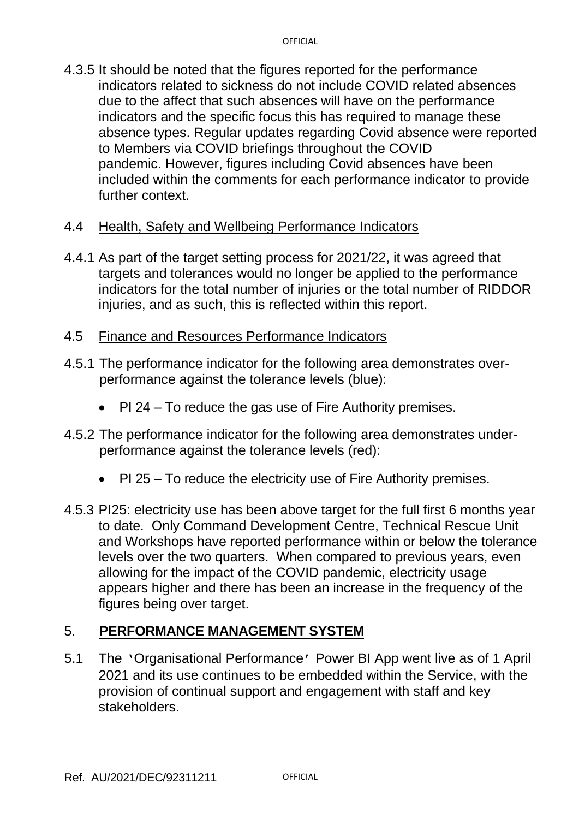4.3.5 It should be noted that the figures reported for the performance indicators related to sickness do not include COVID related absences due to the affect that such absences will have on the performance indicators and the specific focus this has required to manage these absence types. Regular updates regarding Covid absence were reported to Members via COVID briefings throughout the COVID pandemic. However, figures including Covid absences have been included within the comments for each performance indicator to provide further context.

#### 4.4 Health, Safety and Wellbeing Performance Indicators

- 4.4.1 As part of the target setting process for 2021/22, it was agreed that targets and tolerances would no longer be applied to the performance indicators for the total number of injuries or the total number of RIDDOR injuries, and as such, this is reflected within this report.
- 4.5 Finance and Resources Performance Indicators
- 4.5.1 The performance indicator for the following area demonstrates overperformance against the tolerance levels (blue):
	- PI 24 To reduce the gas use of Fire Authority premises.
- 4.5.2 The performance indicator for the following area demonstrates underperformance against the tolerance levels (red):
	- PI 25 To reduce the electricity use of Fire Authority premises.
- 4.5.3 PI25: electricity use has been above target for the full first 6 months year to date. Only Command Development Centre, Technical Rescue Unit and Workshops have reported performance within or below the tolerance levels over the two quarters. When compared to previous years, even allowing for the impact of the COVID pandemic, electricity usage appears higher and there has been an increase in the frequency of the figures being over target.

#### 5. **PERFORMANCE MANAGEMENT SYSTEM**

5.1 The 'Organisational Performance' Power BI App went live as of 1 April 2021 and its use continues to be embedded within the Service, with the provision of continual support and engagement with staff and key stakeholders.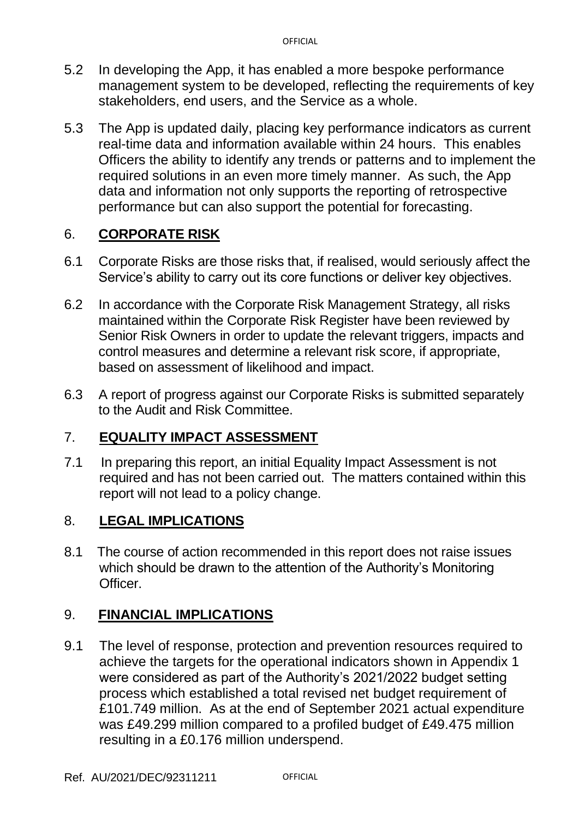- 5.2 In developing the App, it has enabled a more bespoke performance management system to be developed, reflecting the requirements of key stakeholders, end users, and the Service as a whole.
- 5.3 The App is updated daily, placing key performance indicators as current real-time data and information available within 24 hours. This enables Officers the ability to identify any trends or patterns and to implement the required solutions in an even more timely manner. As such, the App data and information not only supports the reporting of retrospective performance but can also support the potential for forecasting.

## 6. **CORPORATE RISK**

- 6.1 Corporate Risks are those risks that, if realised, would seriously affect the Service's ability to carry out its core functions or deliver key objectives.
- 6.2 In accordance with the Corporate Risk Management Strategy, all risks maintained within the Corporate Risk Register have been reviewed by Senior Risk Owners in order to update the relevant triggers, impacts and control measures and determine a relevant risk score, if appropriate, based on assessment of likelihood and impact.
- 6.3 A report of progress against our Corporate Risks is submitted separately to the Audit and Risk Committee.

## 7. **EQUALITY IMPACT ASSESSMENT**

7.1 In preparing this report, an initial Equality Impact Assessment is not required and has not been carried out. The matters contained within this report will not lead to a policy change.

## 8. **LEGAL IMPLICATIONS**

8.1 The course of action recommended in this report does not raise issues which should be drawn to the attention of the Authority's Monitoring Officer.

## 9. **FINANCIAL IMPLICATIONS**

9.1 The level of response, protection and prevention resources required to achieve the targets for the operational indicators shown in Appendix 1 were considered as part of the Authority's 2021/2022 budget setting process which established a total revised net budget requirement of £101.749 million. As at the end of September 2021 actual expenditure was £49.299 million compared to a profiled budget of £49.475 million resulting in a £0.176 million underspend.